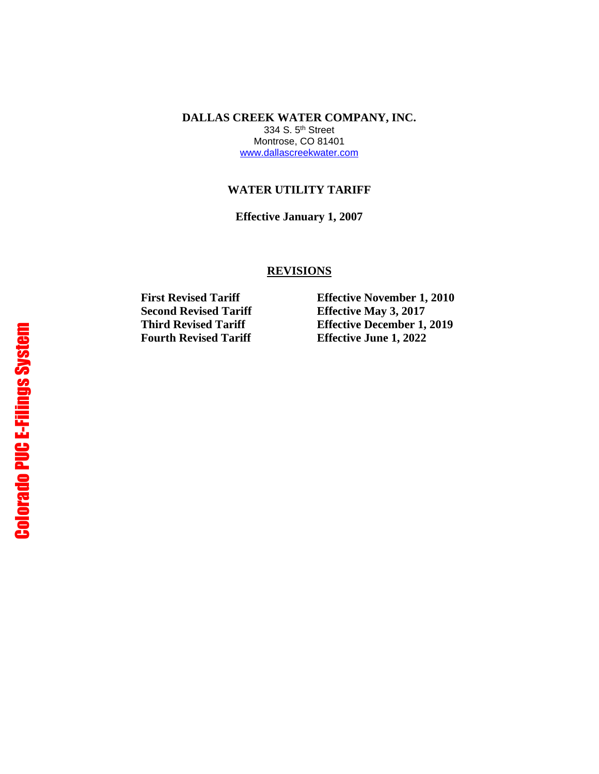**DALLAS CREEK WATER COMPANY, INC.** 334 S. 5th Street Montrose, CO 81401 [www.dallascreekwater.com](http://www.dallascreekwater.com/)

#### **WATER UTILITY TARIFF**

**Effective January 1, 2007**

#### **REVISIONS**

**Second Revised Tariff Effective May 3, 2017 Fourth Revised Tariff Effective June 1, 2022**

**First Revised Tariff Effective November 1, 2010 Third Revised Tariff Effective December 1, 2019**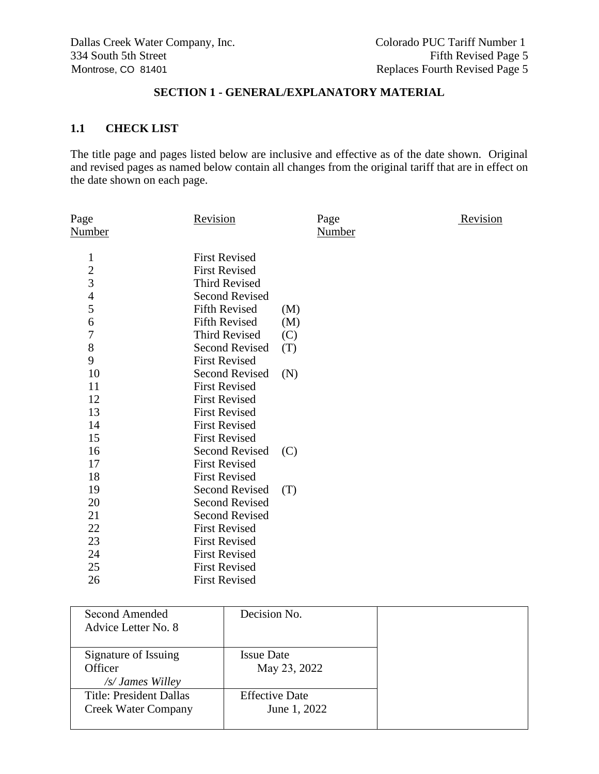## **SECTION 1 - GENERAL/EXPLANATORY MATERIAL**

### **1.1 CHECK LIST**

The title page and pages listed below are inclusive and effective as of the date shown. Original and revised pages as named below contain all changes from the original tariff that are in effect on the date shown on each page.

| Page<br>Revision<br><b>Number</b> |
|-----------------------------------|
|                                   |
|                                   |
|                                   |
|                                   |
|                                   |
|                                   |
|                                   |
|                                   |
|                                   |
|                                   |
|                                   |
|                                   |
|                                   |
|                                   |
|                                   |
|                                   |
|                                   |
|                                   |
|                                   |
|                                   |
|                                   |
|                                   |
|                                   |
|                                   |
|                                   |
|                                   |
| (M)<br>(M)                        |

| Second Amended<br>Advice Letter No. 8                        | Decision No.                          |  |
|--------------------------------------------------------------|---------------------------------------|--|
| Signature of Issuing<br>Officer<br>/s/ James Willey          | <b>Issue Date</b><br>May 23, 2022     |  |
| <b>Title: President Dallas</b><br><b>Creek Water Company</b> | <b>Effective Date</b><br>June 1, 2022 |  |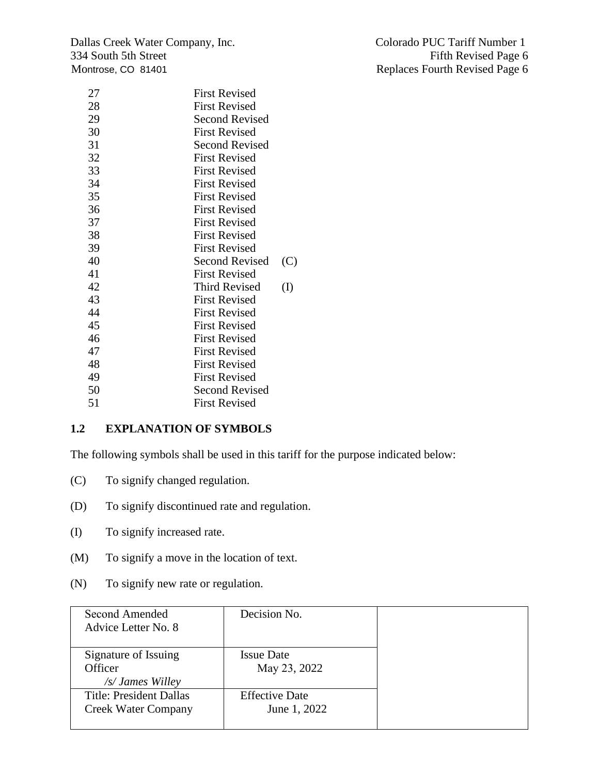Dallas Creek Water Company, Inc. Colorado PUC Tariff Number 1 334 South 5th Street Fifth Revised Page 6 Montrose, CO 81401 **Replaces Fourth Revised Page 6** 

| 27 | <b>First Revised</b>         |  |
|----|------------------------------|--|
| 28 | <b>First Revised</b>         |  |
| 29 | <b>Second Revised</b>        |  |
| 30 | <b>First Revised</b>         |  |
| 31 | Second Revised               |  |
| 32 | <b>First Revised</b>         |  |
| 33 | <b>First Revised</b>         |  |
| 34 | <b>First Revised</b>         |  |
| 35 | <b>First Revised</b>         |  |
| 36 | <b>First Revised</b>         |  |
| 37 | <b>First Revised</b>         |  |
| 38 | <b>First Revised</b>         |  |
| 39 | <b>First Revised</b>         |  |
| 40 | <b>Second Revised</b><br>(C) |  |
| 41 | <b>First Revised</b>         |  |
| 42 | <b>Third Revised</b><br>(I)  |  |
| 43 | <b>First Revised</b>         |  |
| 44 | <b>First Revised</b>         |  |
| 45 | <b>First Revised</b>         |  |
| 46 | <b>First Revised</b>         |  |
| 47 | <b>First Revised</b>         |  |
| 48 | <b>First Revised</b>         |  |
| 49 | <b>First Revised</b>         |  |
| 50 | <b>Second Revised</b>        |  |
| 51 | <b>First Revised</b>         |  |
|    |                              |  |

# **1.2 EXPLANATION OF SYMBOLS**

The following symbols shall be used in this tariff for the purpose indicated below:

- (C) To signify changed regulation.
- (D) To signify discontinued rate and regulation.
- (I) To signify increased rate.
- (M) To signify a move in the location of text.
- (N) To signify new rate or regulation.

| Second Amended<br>Advice Letter No. 8                        | Decision No.                          |
|--------------------------------------------------------------|---------------------------------------|
| Signature of Issuing<br>Officer<br>/s/ James Willey          | <b>Issue Date</b><br>May 23, 2022     |
| <b>Title: President Dallas</b><br><b>Creek Water Company</b> | <b>Effective Date</b><br>June 1, 2022 |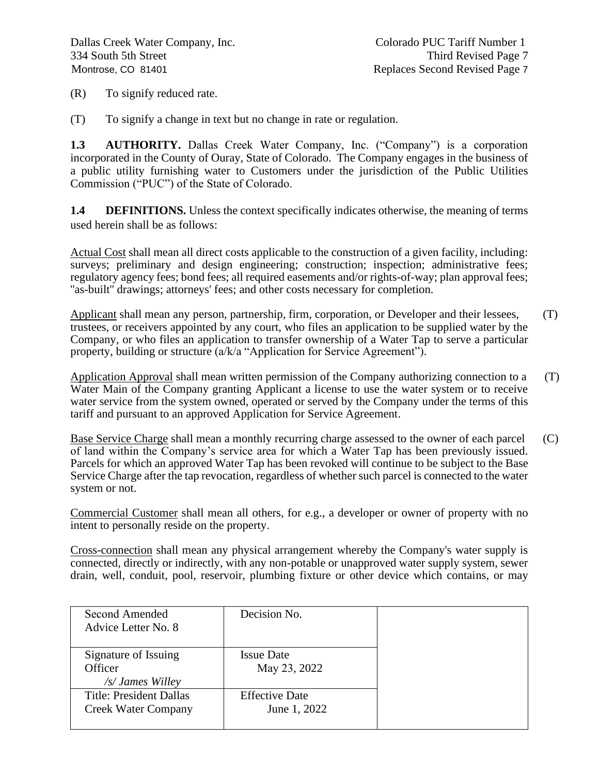(R) To signify reduced rate.

(T) To signify a change in text but no change in rate or regulation.

**1.3 AUTHORITY.** Dallas Creek Water Company, Inc. ("Company") is a corporation incorporated in the County of Ouray, State of Colorado. The Company engages in the business of a public utility furnishing water to Customers under the jurisdiction of the Public Utilities Commission ("PUC") of the State of Colorado.

**1.4 DEFINITIONS.** Unless the context specifically indicates otherwise, the meaning of terms used herein shall be as follows:

Actual Cost shall mean all direct costs applicable to the construction of a given facility, including: surveys; preliminary and design engineering; construction; inspection; administrative fees; regulatory agency fees; bond fees; all required easements and/or rights-of-way; plan approval fees; "as-built" drawings; attorneys' fees; and other costs necessary for completion.

Applicant shall mean any person, partnership, firm, corporation, or Developer and their lessees,  $(T)$ trustees, or receivers appointed by any court, who files an application to be supplied water by the Company, or who files an application to transfer ownership of a Water Tap to serve a particular property, building or structure (a/k/a "Application for Service Agreement").

Application Approval shall mean written permission of the Company authorizing connection to a (T) Water Main of the Company granting Applicant a license to use the water system or to receive water service from the system owned, operated or served by the Company under the terms of this tariff and pursuant to an approved Application for Service Agreement.

Base Service Charge shall mean a monthly recurring charge assessed to the owner of each parcel (C) of land within the Company's service area for which a Water Tap has been previously issued. Parcels for which an approved Water Tap has been revoked will continue to be subject to the Base Service Charge after the tap revocation, regardless of whether such parcel is connected to the water system or not.

Commercial Customer shall mean all others, for e.g., a developer or owner of property with no intent to personally reside on the property.

Cross-connection shall mean any physical arrangement whereby the Company's water supply is connected, directly or indirectly, with any non-potable or unapproved water supply system, sewer drain, well, conduit, pool, reservoir, plumbing fixture or other device which contains, or may

| Second Amended<br>Advice Letter No. 8                        | Decision No.                          |
|--------------------------------------------------------------|---------------------------------------|
| Signature of Issuing<br>Officer<br>/s/ James Willey          | <b>Issue Date</b><br>May 23, 2022     |
| <b>Title: President Dallas</b><br><b>Creek Water Company</b> | <b>Effective Date</b><br>June 1, 2022 |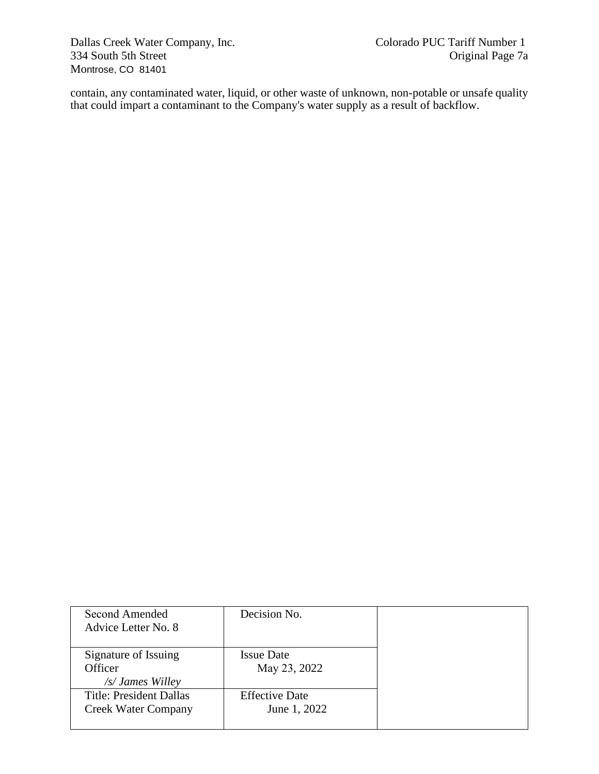Dallas Creek Water Company, Inc. Colorado PUC Tariff Number 1 334 South 5th Street Montrose, CO 81401

contain, any contaminated water, liquid, or other waste of unknown, non-potable or unsafe quality that could impart a contaminant to the Company's water supply as a result of backflow.

| Second Amended<br>Advice Letter No. 8                        | Decision No.                          |
|--------------------------------------------------------------|---------------------------------------|
| Signature of Issuing<br>Officer<br>/s/ James Willey          | <b>Issue Date</b><br>May 23, 2022     |
| <b>Title: President Dallas</b><br><b>Creek Water Company</b> | <b>Effective Date</b><br>June 1, 2022 |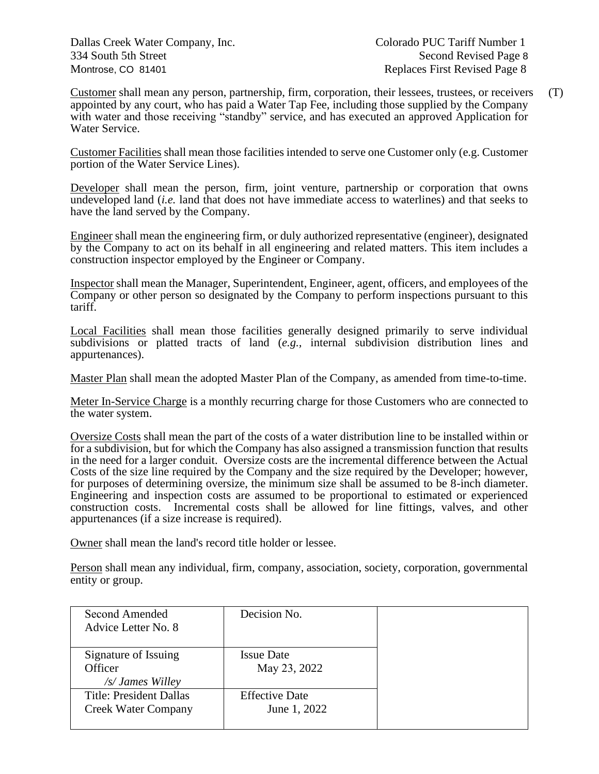Dallas Creek Water Company, Inc. Colorado PUC Tariff Number 1 334 South 5th Street Second Revised Page 8 Montrose, CO 81401 **Replaces First Revised Page 8** 

Customer shall mean any person, partnership, firm, corporation, their lessees, trustees, or receivers (T) appointed by any court, who has paid a Water Tap Fee, including those supplied by the Company with water and those receiving "standby" service, and has executed an approved Application for Water Service.

Customer Facilities shall mean those facilities intended to serve one Customer only (e.g. Customer portion of the Water Service Lines).

Developer shall mean the person, firm, joint venture, partnership or corporation that owns undeveloped land (*i.e.* land that does not have immediate access to waterlines) and that seeks to have the land served by the Company.

Engineer shall mean the engineering firm, or duly authorized representative (engineer), designated by the Company to act on its behalf in all engineering and related matters. This item includes a construction inspector employed by the Engineer or Company.

Inspector shall mean the Manager, Superintendent, Engineer, agent, officers, and employees of the Company or other person so designated by the Company to perform inspections pursuant to this tariff.

Local Facilities shall mean those facilities generally designed primarily to serve individual subdivisions or platted tracts of land (*e.g.,* internal subdivision distribution lines and appurtenances).

Master Plan shall mean the adopted Master Plan of the Company, as amended from time-to-time.

Meter In-Service Charge is a monthly recurring charge for those Customers who are connected to the water system.

Oversize Costs shall mean the part of the costs of a water distribution line to be installed within or for a subdivision, but for which the Company has also assigned a transmission function that results in the need for a larger conduit. Oversize costs are the incremental difference between the Actual Costs of the size line required by the Company and the size required by the Developer; however, for purposes of determining oversize, the minimum size shall be assumed to be 8-inch diameter. Engineering and inspection costs are assumed to be proportional to estimated or experienced construction costs. Incremental costs shall be allowed for line fittings, valves, and other appurtenances (if a size increase is required).

Owner shall mean the land's record title holder or lessee.

Person shall mean any individual, firm, company, association, society, corporation, governmental entity or group.

| Second Amended                 | Decision No.          |  |
|--------------------------------|-----------------------|--|
| Advice Letter No. 8            |                       |  |
|                                |                       |  |
| Signature of Issuing           | <b>Issue Date</b>     |  |
| Officer                        | May 23, 2022          |  |
| /s/ James Willey               |                       |  |
| <b>Title: President Dallas</b> | <b>Effective Date</b> |  |
| <b>Creek Water Company</b>     | June 1, 2022          |  |
|                                |                       |  |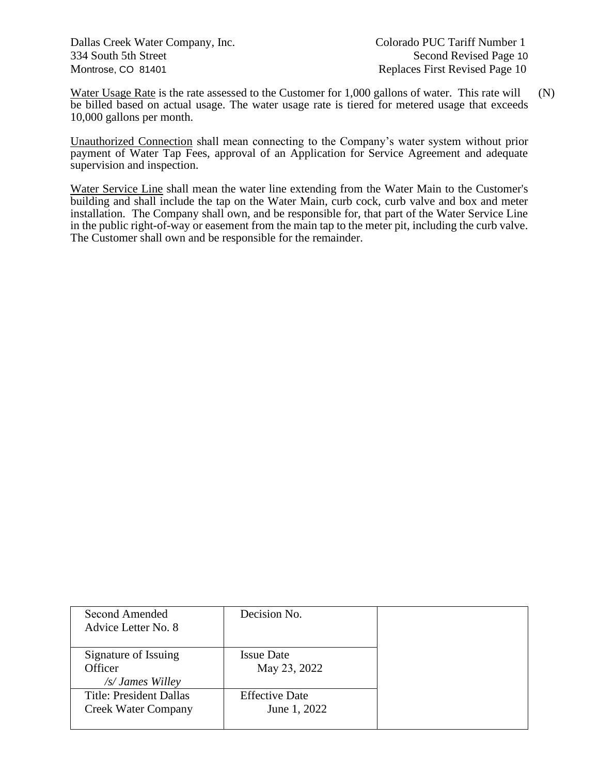Dallas Creek Water Company, Inc. Colorado PUC Tariff Number 1 334 South 5th Street Second Revised Page 10 Montrose, CO 81401 **Replaces First Revised Page 10** 

Water Usage Rate is the rate assessed to the Customer for 1,000 gallons of water. This rate will (N) be billed based on actual usage. The water usage rate is tiered for metered usage that exceeds 10,000 gallons per month.

Unauthorized Connection shall mean connecting to the Company's water system without prior payment of Water Tap Fees, approval of an Application for Service Agreement and adequate supervision and inspection.

Water Service Line shall mean the water line extending from the Water Main to the Customer's building and shall include the tap on the Water Main, curb cock, curb valve and box and meter installation. The Company shall own, and be responsible for, that part of the Water Service Line in the public right-of-way or easement from the main tap to the meter pit, including the curb valve. The Customer shall own and be responsible for the remainder.

| Second Amended<br>Advice Letter No. 8              | Decision No.                      |
|----------------------------------------------------|-----------------------------------|
| Signature of Issuing<br>Officer                    | <b>Issue Date</b><br>May 23, 2022 |
| /s/ James Willey<br><b>Title: President Dallas</b> | <b>Effective Date</b>             |
| <b>Creek Water Company</b>                         | June 1, 2022                      |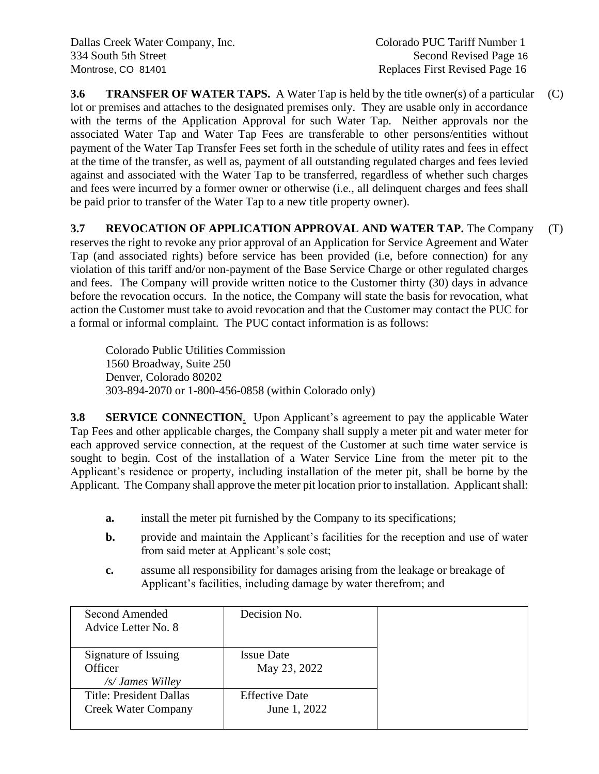**3.6 TRANSFER OF WATER TAPS.** A Water Tap is held by the title owner(s) of a particular (C) lot or premises and attaches to the designated premises only. They are usable only in accordance with the terms of the Application Approval for such Water Tap. Neither approvals nor the associated Water Tap and Water Tap Fees are transferable to other persons/entities without payment of the Water Tap Transfer Fees set forth in the schedule of utility rates and fees in effect at the time of the transfer, as well as, payment of all outstanding regulated charges and fees levied against and associated with the Water Tap to be transferred, regardless of whether such charges and fees were incurred by a former owner or otherwise (i.e., all delinquent charges and fees shall be paid prior to transfer of the Water Tap to a new title property owner).

## **3.7 REVOCATION OF APPLICATION APPROVAL AND WATER TAP.** The Company (T)

reserves the right to revoke any prior approval of an Application for Service Agreement and Water Tap (and associated rights) before service has been provided (i.e, before connection) for any violation of this tariff and/or non-payment of the Base Service Charge or other regulated charges and fees. The Company will provide written notice to the Customer thirty (30) days in advance before the revocation occurs. In the notice, the Company will state the basis for revocation, what action the Customer must take to avoid revocation and that the Customer may contact the PUC for a formal or informal complaint. The PUC contact information is as follows:

Colorado Public Utilities Commission 1560 Broadway, Suite 250 Denver, Colorado 80202 303-894-2070 or 1-800-456-0858 (within Colorado only)

**3.8 SERVICE CONNECTION**. Upon Applicant's agreement to pay the applicable Water Tap Fees and other applicable charges, the Company shall supply a meter pit and water meter for each approved service connection, at the request of the Customer at such time water service is sought to begin. Cost of the installation of a Water Service Line from the meter pit to the Applicant's residence or property, including installation of the meter pit, shall be borne by the Applicant. The Company shall approve the meter pit location prior to installation. Applicant shall:

- **a.** install the meter pit furnished by the Company to its specifications;
- **b.** provide and maintain the Applicant's facilities for the reception and use of water from said meter at Applicant's sole cost;
- **c.** assume all responsibility for damages arising from the leakage or breakage of Applicant's facilities, including damage by water therefrom; and

| Second Amended<br>Advice Letter No. 8                        | Decision No.                          |
|--------------------------------------------------------------|---------------------------------------|
| Signature of Issuing<br>Officer<br>/s/ James Willey          | <b>Issue Date</b><br>May 23, 2022     |
| <b>Title: President Dallas</b><br><b>Creek Water Company</b> | <b>Effective Date</b><br>June 1, 2022 |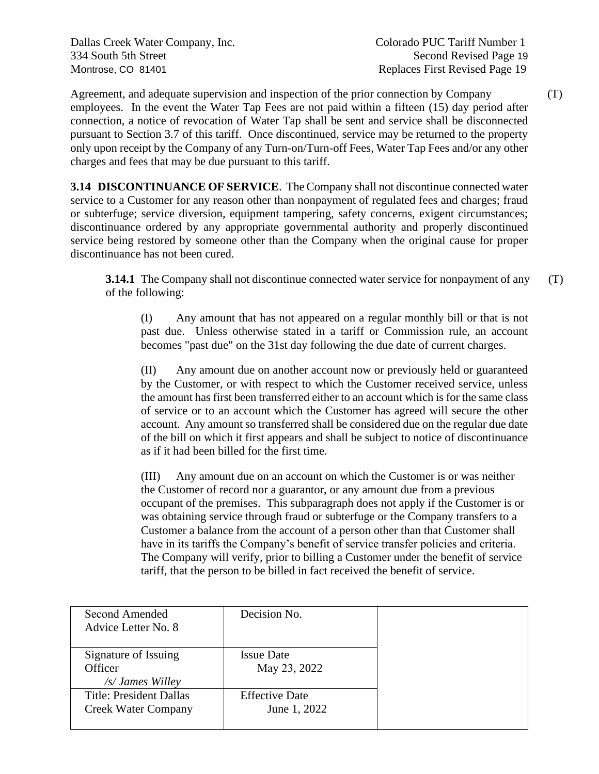Dallas Creek Water Company, Inc. Colorado PUC Tariff Number 1 334 South 5th Street Second Revised Page 19 Montrose, CO 81401 **Montrose**, CO 81401

Agreement, and adequate supervision and inspection of the prior connection by Company (T) employees. In the event the Water Tap Fees are not paid within a fifteen (15) day period after connection, a notice of revocation of Water Tap shall be sent and service shall be disconnected pursuant to Section 3.7 of this tariff. Once discontinued, service may be returned to the property only upon receipt by the Company of any Turn-on/Turn-off Fees, Water Tap Fees and/or any other charges and fees that may be due pursuant to this tariff.

**3.14 DISCONTINUANCE OF SERVICE**. The Company shall not discontinue connected water service to a Customer for any reason other than nonpayment of regulated fees and charges; fraud or subterfuge; service diversion, equipment tampering, safety concerns, exigent circumstances; discontinuance ordered by any appropriate governmental authority and properly discontinued service being restored by someone other than the Company when the original cause for proper discontinuance has not been cured.

**3.14.1** The Company shall not discontinue connected water service for nonpayment of any (T) of the following:

(I) Any amount that has not appeared on a regular monthly bill or that is not past due. Unless otherwise stated in a tariff or Commission rule, an account becomes "past due" on the 31st day following the due date of current charges.

(II) Any amount due on another account now or previously held or guaranteed by the Customer, or with respect to which the Customer received service, unless the amount has first been transferred either to an account which is for the same class of service or to an account which the Customer has agreed will secure the other account. Any amount so transferred shall be considered due on the regular due date of the bill on which it first appears and shall be subject to notice of discontinuance as if it had been billed for the first time.

(III) Any amount due on an account on which the Customer is or was neither the Customer of record nor a guarantor, or any amount due from a previous occupant of the premises. This subparagraph does not apply if the Customer is or was obtaining service through fraud or subterfuge or the Company transfers to a Customer a balance from the account of a person other than that Customer shall have in its tariffs the Company's benefit of service transfer policies and criteria. The Company will verify, prior to billing a Customer under the benefit of service tariff, that the person to be billed in fact received the benefit of service.

| Second Amended                 | Decision No.          |  |
|--------------------------------|-----------------------|--|
| Advice Letter No. 8            |                       |  |
|                                |                       |  |
| Signature of Issuing           | <b>Issue Date</b>     |  |
| Officer                        | May 23, 2022          |  |
| /s/ James Willey               |                       |  |
| <b>Title: President Dallas</b> | <b>Effective Date</b> |  |
| <b>Creek Water Company</b>     | June 1, 2022          |  |
|                                |                       |  |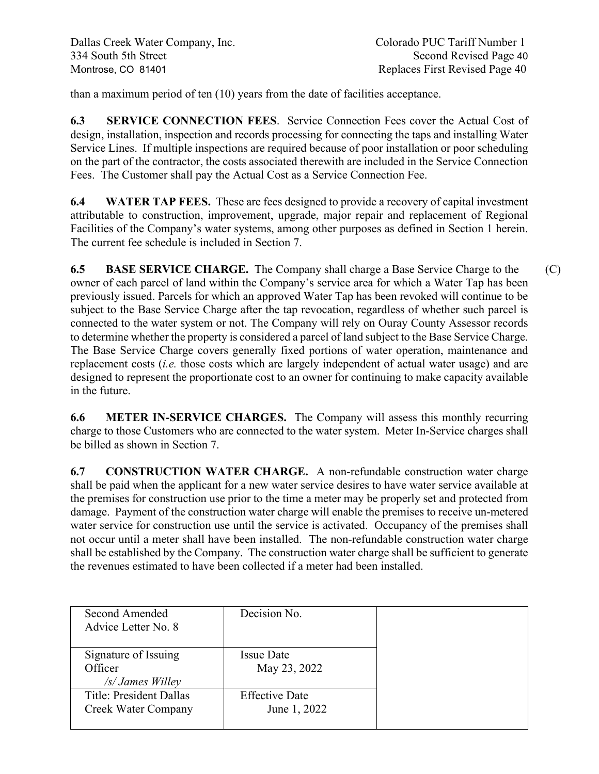than a maximum period of ten (10) years from the date of facilities acceptance.

**6.3 SERVICE CONNECTION FEES**. Service Connection Fees cover the Actual Cost of design, installation, inspection and records processing for connecting the taps and installing Water Service Lines. If multiple inspections are required because of poor installation or poor scheduling on the part of the contractor, the costs associated therewith are included in the Service Connection Fees. The Customer shall pay the Actual Cost as a Service Connection Fee.

**6.4 WATER TAP FEES.** These are fees designed to provide a recovery of capital investment attributable to construction, improvement, upgrade, major repair and replacement of Regional Facilities of the Company's water systems, among other purposes as defined in Section 1 herein. The current fee schedule is included in Section 7.

**6.5 BASE SERVICE CHARGE.** The Company shall charge a Base Service Charge to the (C) owner of each parcel of land within the Company's service area for which a Water Tap has been previously issued. Parcels for which an approved Water Tap has been revoked will continue to be subject to the Base Service Charge after the tap revocation, regardless of whether such parcel is connected to the water system or not. The Company will rely on Ouray County Assessor records to determine whether the property is considered a parcel of land subject to the Base Service Charge. The Base Service Charge covers generally fixed portions of water operation, maintenance and replacement costs (*i.e.* those costs which are largely independent of actual water usage) and are designed to represent the proportionate cost to an owner for continuing to make capacity available in the future.

**6.6 METER IN-SERVICE CHARGES.** The Company will assess this monthly recurring charge to those Customers who are connected to the water system. Meter In-Service charges shall be billed as shown in Section 7.

**6.7 CONSTRUCTION WATER CHARGE.** A non-refundable construction water charge shall be paid when the applicant for a new water service desires to have water service available at the premises for construction use prior to the time a meter may be properly set and protected from damage. Payment of the construction water charge will enable the premises to receive un-metered water service for construction use until the service is activated. Occupancy of the premises shall not occur until a meter shall have been installed. The non-refundable construction water charge shall be established by the Company. The construction water charge shall be sufficient to generate the revenues estimated to have been collected if a meter had been installed.

| Second Amended<br>Advice Letter No. 8                 | Decision No.                          |  |
|-------------------------------------------------------|---------------------------------------|--|
| Signature of Issuing<br>Officer<br>/s/ James Willey   | <b>Issue Date</b><br>May 23, 2022     |  |
| <b>Title: President Dallas</b><br>Creek Water Company | <b>Effective Date</b><br>June 1, 2022 |  |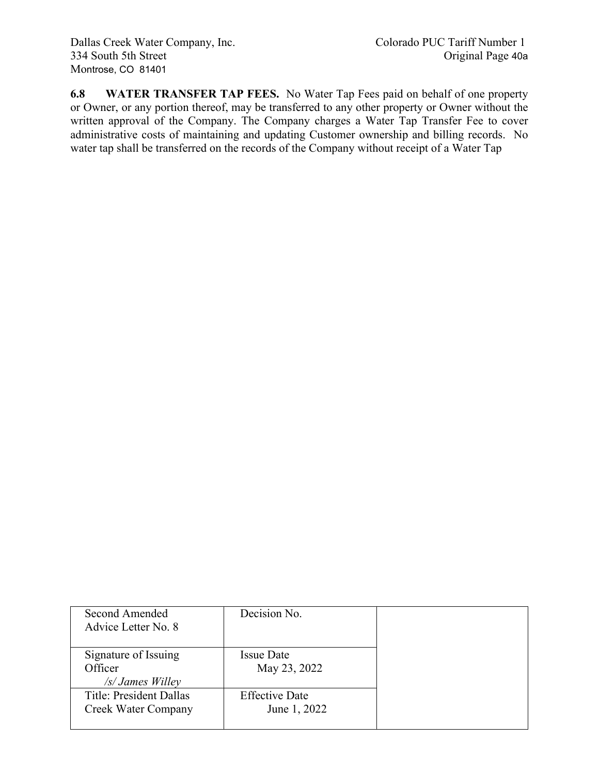**6.8 WATER TRANSFER TAP FEES.** No Water Tap Fees paid on behalf of one property or Owner, or any portion thereof, may be transferred to any other property or Owner without the written approval of the Company. The Company charges a Water Tap Transfer Fee to cover administrative costs of maintaining and updating Customer ownership and billing records. No water tap shall be transferred on the records of the Company without receipt of a Water Tap

| Second Amended<br>Advice Letter No. 8                 | Decision No.                          |  |
|-------------------------------------------------------|---------------------------------------|--|
| Signature of Issuing<br>Officer<br>/s/ James Willey   | <b>Issue Date</b><br>May 23, 2022     |  |
| <b>Title: President Dallas</b><br>Creek Water Company | <b>Effective Date</b><br>June 1, 2022 |  |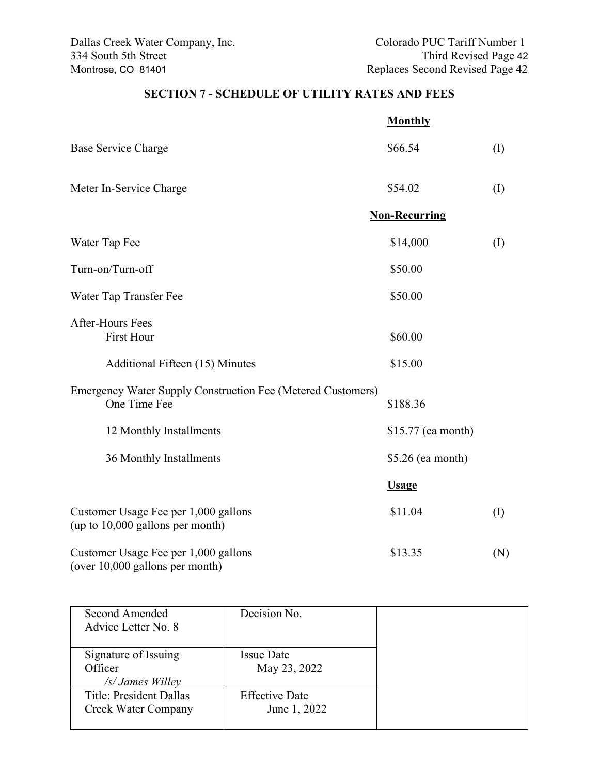# **SECTION 7 - SCHEDULE OF UTILITY RATES AND FEES**

|                                                                             | <b>Monthly</b>       |          |
|-----------------------------------------------------------------------------|----------------------|----------|
| <b>Base Service Charge</b>                                                  | \$66.54              | (I)      |
| Meter In-Service Charge                                                     | \$54.02              | (I)      |
|                                                                             | <b>Non-Recurring</b> |          |
| Water Tap Fee                                                               | \$14,000             | $\rm(I)$ |
| Turn-on/Turn-off                                                            | \$50.00              |          |
| Water Tap Transfer Fee                                                      | \$50.00              |          |
| <b>After-Hours Fees</b><br><b>First Hour</b>                                | \$60.00              |          |
| Additional Fifteen (15) Minutes                                             | \$15.00              |          |
| Emergency Water Supply Construction Fee (Metered Customers)<br>One Time Fee | \$188.36             |          |
| 12 Monthly Installments                                                     | \$15.77 (ea month)   |          |
| 36 Monthly Installments                                                     | $$5.26$ (ea month)   |          |
|                                                                             | <b>Usage</b>         |          |
| Customer Usage Fee per 1,000 gallons<br>(up to $10,000$ gallons per month)  | \$11.04              | (I)      |
| Customer Usage Fee per 1,000 gallons<br>(over 10,000 gallons per month)     | \$13.35              | (N)      |

| Second Amended                 | Decision No.          |  |
|--------------------------------|-----------------------|--|
| Advice Letter No. 8            |                       |  |
|                                |                       |  |
| Signature of Issuing           | <b>Issue Date</b>     |  |
| Officer                        | May 23, 2022          |  |
| $/s$ James Willey              |                       |  |
| <b>Title: President Dallas</b> | <b>Effective Date</b> |  |
| Creek Water Company            | June 1, 2022          |  |
|                                |                       |  |